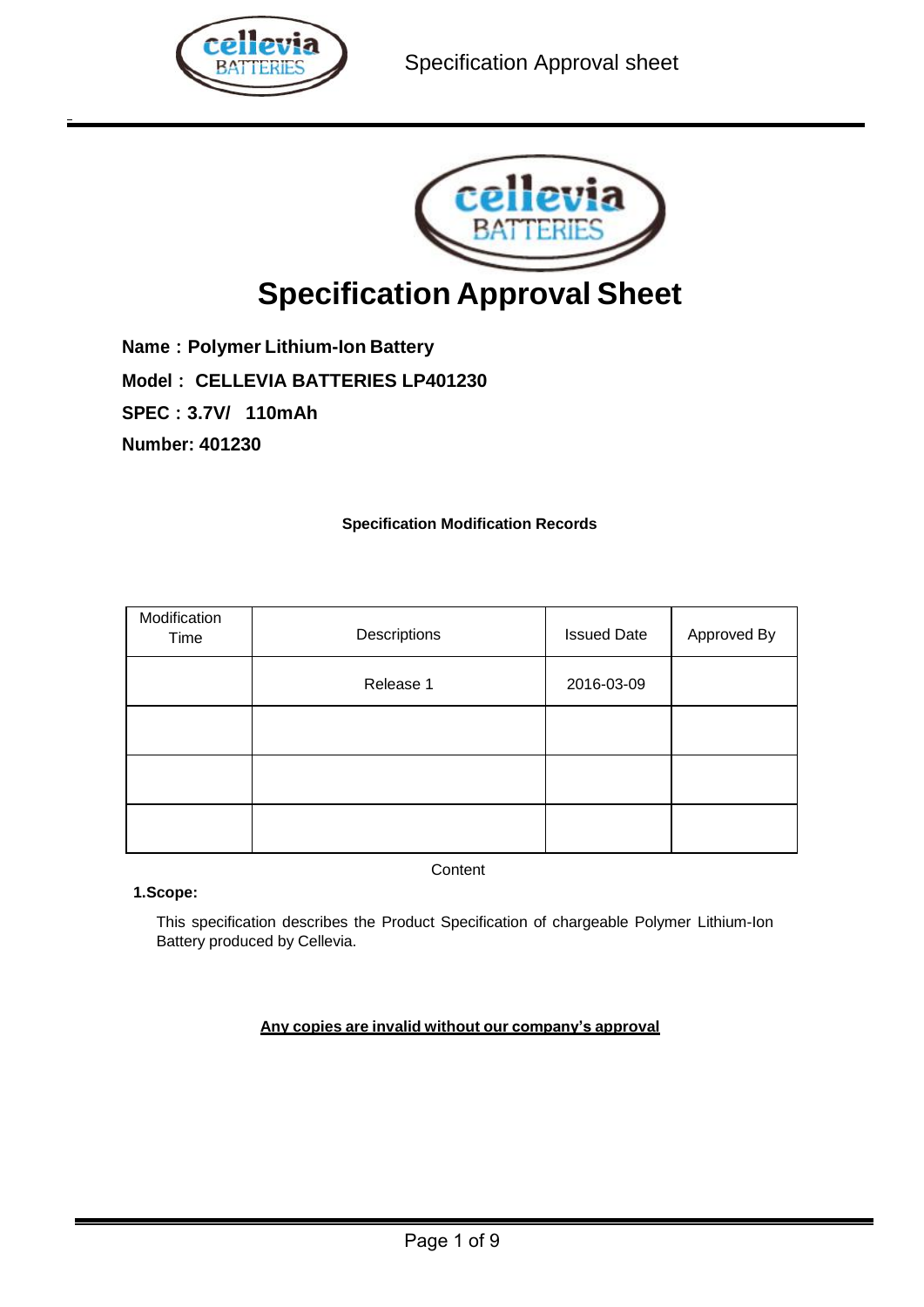



# **Specification Approval Sheet**

**Name:Polymer Lithium-Ion Battery**

**Model: CELLEVIA BATTERIES LP401230**

**SPEC:3.7V/ 110mAh**

**Number: 401230**

## **Specification Modification Records**

| Modification<br>Time | Descriptions | <b>Issued Date</b> | Approved By |
|----------------------|--------------|--------------------|-------------|
|                      | Release 1    | 2016-03-09         |             |
|                      |              |                    |             |
|                      |              |                    |             |
|                      |              |                    |             |

**Content** 

 **1.Scope:**

This specification describes the Product Specification of chargeable Polymer Lithium-Ion Battery produced by Cellevia.

## **Any copies are invalid without our company's approval**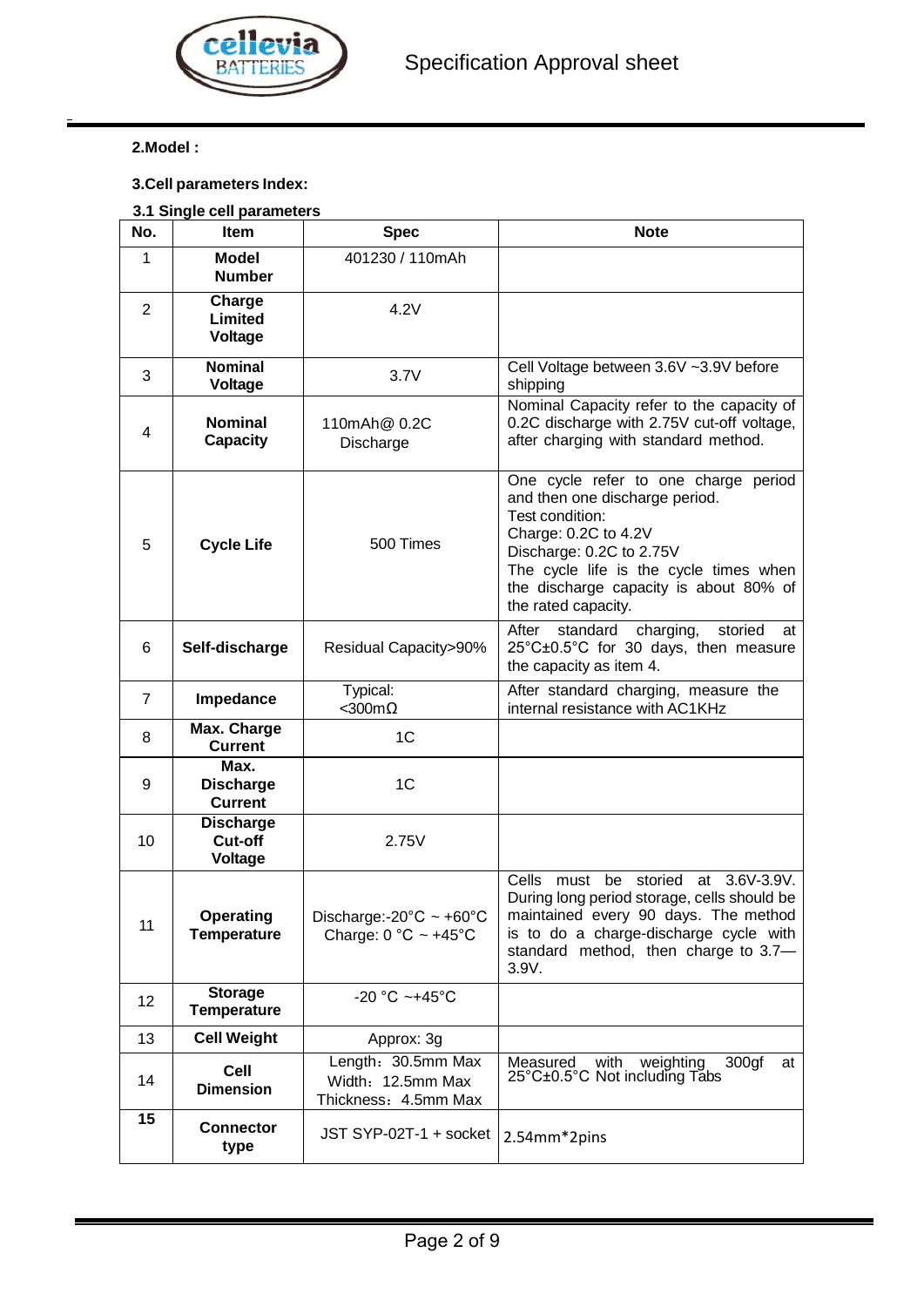

## **2.Model :**

## **3.Cell parameters Index:**

## **3.1 Single cell parameters**

| No.            | Item                                       | <b>Spec</b>                                                                 | <b>Note</b>                                                                                                                                                                                                                                              |  |
|----------------|--------------------------------------------|-----------------------------------------------------------------------------|----------------------------------------------------------------------------------------------------------------------------------------------------------------------------------------------------------------------------------------------------------|--|
| 1              | <b>Model</b><br><b>Number</b>              | 401230 / 110mAh                                                             |                                                                                                                                                                                                                                                          |  |
| 2              | Charge<br>Limited<br>Voltage               | 4.2V                                                                        |                                                                                                                                                                                                                                                          |  |
| 3              | <b>Nominal</b><br>Voltage                  | 3.7V                                                                        | Cell Voltage between 3.6V ~3.9V before<br>shipping                                                                                                                                                                                                       |  |
| 4              | <b>Nominal</b><br><b>Capacity</b>          | 110mAh@ 0.2C<br>Discharge                                                   | Nominal Capacity refer to the capacity of<br>0.2C discharge with 2.75V cut-off voltage,<br>after charging with standard method.                                                                                                                          |  |
| 5              | <b>Cycle Life</b>                          | 500 Times                                                                   | One cycle refer to one charge period<br>and then one discharge period.<br>Test condition:<br>Charge: 0.2C to 4.2V<br>Discharge: 0.2C to 2.75V<br>The cycle life is the cycle times when<br>the discharge capacity is about 80% of<br>the rated capacity. |  |
| 6              | Self-discharge                             | <b>Residual Capacity&gt;90%</b>                                             | charging,<br>After<br>standard<br>storied<br>at<br>25°C±0.5°C for 30 days, then measure<br>the capacity as item 4.                                                                                                                                       |  |
| $\overline{7}$ | Impedance                                  | Typical:<br>$<$ 300m $\Omega$                                               | After standard charging, measure the<br>internal resistance with AC1KHz                                                                                                                                                                                  |  |
| 8              | Max. Charge<br><b>Current</b>              | 1 <sub>C</sub>                                                              |                                                                                                                                                                                                                                                          |  |
| 9              | Max.<br><b>Discharge</b><br><b>Current</b> | 1 <sub>C</sub>                                                              |                                                                                                                                                                                                                                                          |  |
| 10             | <b>Discharge</b><br>Cut-off<br>Voltage     | 2.75V                                                                       |                                                                                                                                                                                                                                                          |  |
| 11             | Operating<br><b>Temperature</b>            | Discharge:- $20^{\circ}$ C ~ +60 $^{\circ}$ C<br>Charge: $0 °C \sim +45 °C$ | 3.6V-3.9V.<br>Cells<br>storied<br>must<br>be<br>at<br>During long period storage, cells should be<br>maintained every 90 days. The method<br>is to do a charge-discharge cycle with<br>standard method, then charge to 3.7-<br>3.9V.                     |  |
| 12             | <b>Storage</b><br><b>Temperature</b>       | -20 °C ~+45°C                                                               |                                                                                                                                                                                                                                                          |  |
| 13             | <b>Cell Weight</b>                         | Approx: 3g                                                                  |                                                                                                                                                                                                                                                          |  |
| 14             | Cell<br><b>Dimension</b>                   | Length: 30.5mm Max<br>Width: 12.5mm Max<br>Thickness: 4.5mm Max             | weighting<br>300 <sub>g</sub> f<br>Measured<br>with<br>at<br>25°C±0.5°C Not including Tabs                                                                                                                                                               |  |
| 15             | <b>Connector</b><br>type                   | JST SYP-02T-1 + socket                                                      | 2.54mm*2pins                                                                                                                                                                                                                                             |  |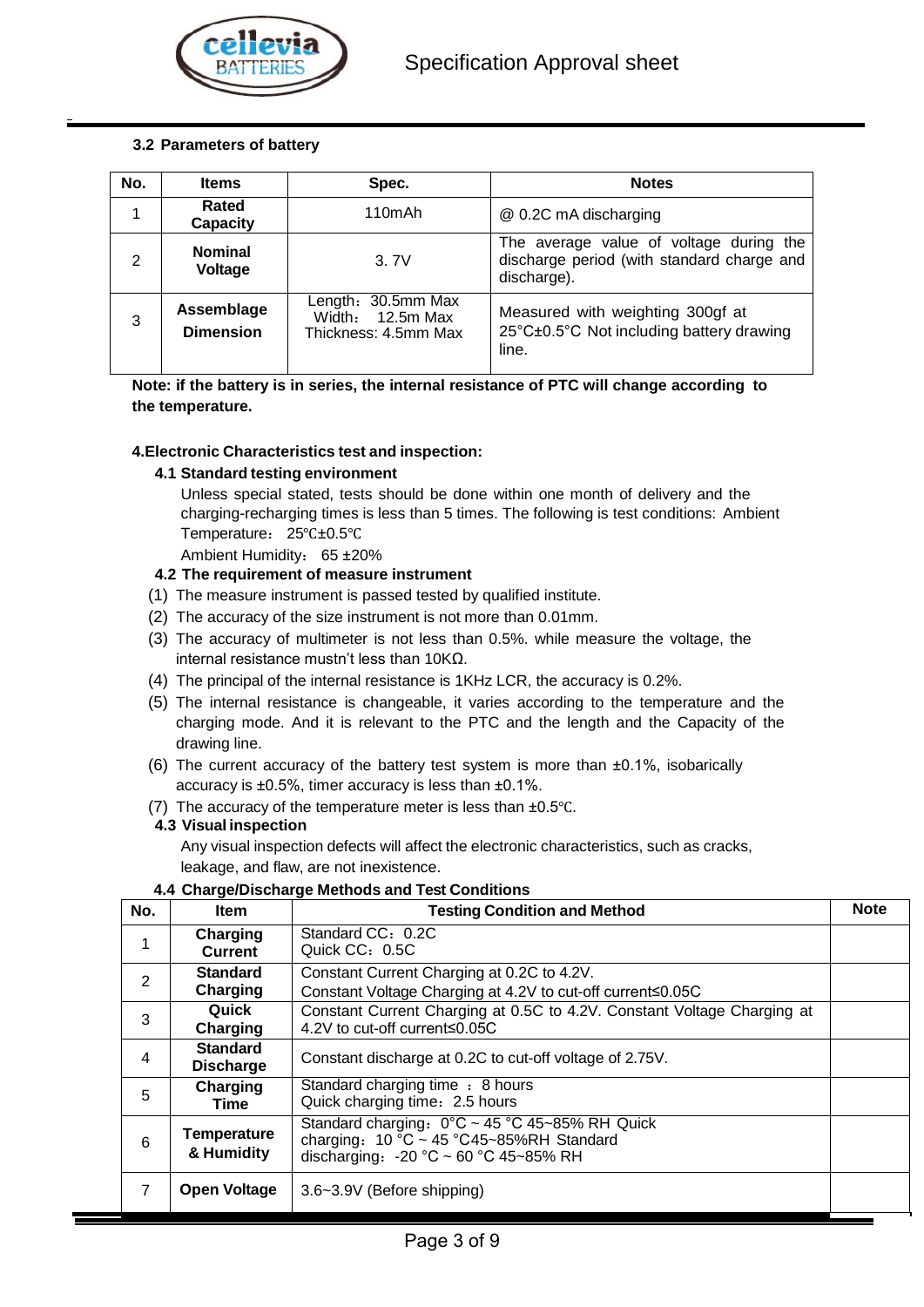

## **3.2 Parameters of battery**

| No.            | <b>Items</b>                   | Spec.                                                            | <b>Notes</b>                                                                                         |  |
|----------------|--------------------------------|------------------------------------------------------------------|------------------------------------------------------------------------------------------------------|--|
| 1              | Rated<br><b>Capacity</b>       | 110mAh                                                           | @ 0.2C mA discharging                                                                                |  |
| $\mathfrak{p}$ | <b>Nominal</b><br>Voltage      | 3.7V                                                             | The average value of voltage during the<br>discharge period (with standard charge and<br>discharge). |  |
| 3              | Assemblage<br><b>Dimension</b> | Length: 30.5mm Max<br>Width: $12.5m$ Max<br>Thickness: 4.5mm Max | Measured with weighting 300gf at<br>25°C±0.5°C Not including battery drawing<br>line.                |  |

**Note: if the battery is in series, the internal resistance of PTC will change according to the temperature.**

#### **4.Electronic Characteristics test and inspection:**

#### **4.1 Standard testing environment**

Unless special stated, tests should be done within one month of delivery and the charging-recharging times is less than 5 times. The following is test conditions: Ambient Temperature: 25℃±0.5℃

Ambient Humidity: 65 ±20%

#### **4.2 The requirement of measure instrument**

- (1) The measure instrument is passed tested by qualified institute.
- (2) The accuracy of the size instrument is not more than 0.01mm.
- (3) The accuracy of multimeter is not less than 0.5%. while measure the voltage, the internal resistance mustn't less than 10KΩ.
- (4) The principal of the internal resistance is 1KHz LCR, the accuracy is 0.2%.
- (5) The internal resistance is changeable, it varies according to the temperature and the charging mode. And it is relevant to the PTC and the length and the Capacity of the drawing line.
- (6) The current accuracy of the battery test system is more than ±0.1%, isobarically accuracy is ±0.5%, timer accuracy is less than ±0.1%.
- (7) The accuracy of the temperature meter is less than ±0.5℃.

#### **4.3 Visual inspection**

Any visual inspection defects will affect the electronic characteristics, such as cracks, leakage, and flaw, are not inexistence.

#### **4.4 Charge/Discharge Methods and Test Conditions**

| No.            | <b>Item</b>                         | <b>Testing Condition and Method</b>                                                                                                                                       | <b>Note</b> |
|----------------|-------------------------------------|---------------------------------------------------------------------------------------------------------------------------------------------------------------------------|-------------|
| 1              | Charging<br><b>Current</b>          | Standard CC: 0.2C<br>Quick CC: 0.5C                                                                                                                                       |             |
| $\overline{2}$ | <b>Standard</b><br>Charging         | Constant Current Charging at 0.2C to 4.2V.<br>Constant Voltage Charging at 4.2V to cut-off current≤0.05C                                                                  |             |
| 3              | Quick<br>Charging                   | Constant Current Charging at 0.5C to 4.2V. Constant Voltage Charging at<br>4.2V to cut-off current≤0.05C                                                                  |             |
| 4              | <b>Standard</b><br><b>Discharge</b> | Constant discharge at 0.2C to cut-off voltage of 2.75V.                                                                                                                   |             |
| 5              | Charging<br><b>Time</b>             | Standard charging time : 8 hours<br>Quick charging time: 2.5 hours                                                                                                        |             |
| 6              | <b>Temperature</b><br>& Humidity    | Standard charging: 0°C ~ 45 °C 45~85% RH Quick<br>charging: $10\degree C \sim 45\degree C45\degree B\%RH$ Standard<br>discharging: $-20$ °C $\sim$ 60 °C 45 $\sim$ 85% RH |             |
| 7              | <b>Open Voltage</b>                 | 3.6~3.9V (Before shipping)                                                                                                                                                |             |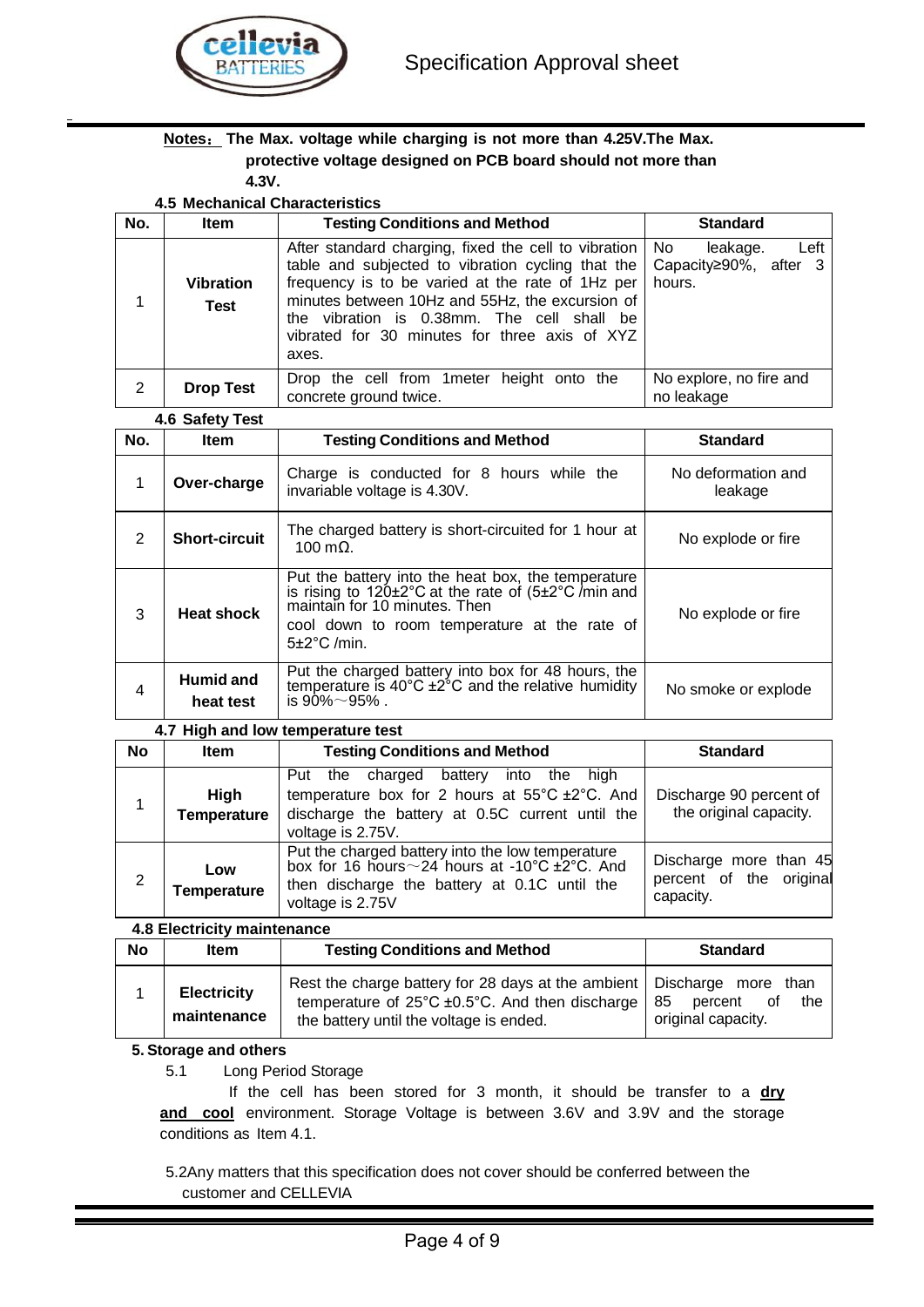

#### **Notes**: **The Max. voltage while charging is not more than 4.25V.The Max. protective voltage designed on PCB board should not more than 4.3V.**

**4.5 Mechanical Characteristics**

| No. | <b>Item</b>                     | <b>Testing Conditions and Method</b>                                                                                                                                                                                                                                                                                          | <b>Standard</b>                                              |
|-----|---------------------------------|-------------------------------------------------------------------------------------------------------------------------------------------------------------------------------------------------------------------------------------------------------------------------------------------------------------------------------|--------------------------------------------------------------|
|     | <b>Vibration</b><br><b>Test</b> | After standard charging, fixed the cell to vibration   No<br>table and subjected to vibration cycling that the<br>frequency is to be varied at the rate of 1Hz per<br>minutes between 10Hz and 55Hz, the excursion of<br>the vibration is 0.38mm. The cell shall be<br>vibrated for 30 minutes for three axis of XYZ<br>axes. | Left<br>leakage.<br>Capacity $\geq 90\%$ , after 3<br>hours. |
| 2   | <b>Drop Test</b>                | Drop the cell from 1 meter height onto the<br>concrete ground twice.                                                                                                                                                                                                                                                          | No explore, no fire and<br>no leakage                        |

#### **4.6 Safety Test**

| No. | <b>Item</b>            | <b>Testing Conditions and Method</b>                                                                                                                                                                                                             | <b>Standard</b>               |
|-----|------------------------|--------------------------------------------------------------------------------------------------------------------------------------------------------------------------------------------------------------------------------------------------|-------------------------------|
| 1   | Over-charge            | Charge is conducted for 8 hours while the<br>invariable voltage is 4.30V.                                                                                                                                                                        | No deformation and<br>leakage |
| 2   | <b>Short-circuit</b>   | The charged battery is short-circuited for 1 hour at<br>$100 \text{ m}\Omega$ .                                                                                                                                                                  | No explode or fire            |
| 3   | <b>Heat shock</b>      | Put the battery into the heat box, the temperature<br>is rising to $120 \pm 2^{\circ}$ C at the rate of $(5 \pm 2^{\circ}$ C/min and<br>maintain for 10 minutes. Then<br>cool down to room temperature at the rate of<br>$5\pm2^{\circ}$ C /min. | No explode or fire            |
| 4   | Humid and<br>heat test | Put the charged battery into box for 48 hours, the temperature is $40^{\circ}$ C $\pm 2^{\circ}$ C and the relative humidity<br>is $90\% \sim 95\%$ .                                                                                            | No smoke or explode           |

#### **4.7 High and low temperature test**

| <b>No</b> | <b>Item</b>                       | <b>Testing Conditions and Method</b>                                                                                                                                                        | <b>Standard</b>                                                |
|-----------|-----------------------------------|---------------------------------------------------------------------------------------------------------------------------------------------------------------------------------------------|----------------------------------------------------------------|
|           | <b>High</b><br><b>Temperature</b> | battery<br>into the high<br>Put the charged<br>temperature box for 2 hours at $55^{\circ}$ C $\pm 2^{\circ}$ C. And<br>discharge the battery at 0.5C current until the<br>voltage is 2.75V. | Discharge 90 percent of<br>the original capacity.              |
|           | Low<br><b>Temperature</b>         | Put the charged battery into the low temperature<br>box for 16 hours $\sim$ 24 hours at -10°C $\pm$ 2°C. And<br>then discharge the battery at 0.1C until the<br>voltage is 2.75V            | Discharge more than 45<br>percent of the original<br>capacity. |

#### **4.8 Electricity maintenance**

| <b>No</b> | <b>Item</b>                       | <b>Testing Conditions and Method</b>                                                                                                                                                 | <b>Standard</b>                            |
|-----------|-----------------------------------|--------------------------------------------------------------------------------------------------------------------------------------------------------------------------------------|--------------------------------------------|
|           | <b>Electricity</b><br>maintenance | Rest the charge battery for 28 days at the ambient   Discharge more than<br>temperature of $25^{\circ}$ C ±0.5°C. And then discharge   85<br>the battery until the voltage is ended. | percent<br>οf<br>the<br>original capacity. |

#### **5. Storage and others**

#### 5.1 Long Period Storage

 If the cell has been stored for 3 month, it should be transfer to a **dry and cool** environment. Storage Voltage is between 3.6V and 3.9V and the storage conditions as Item 4.1.

5.2Any matters that this specification does not cover should be conferred between the customer and CELLEVIA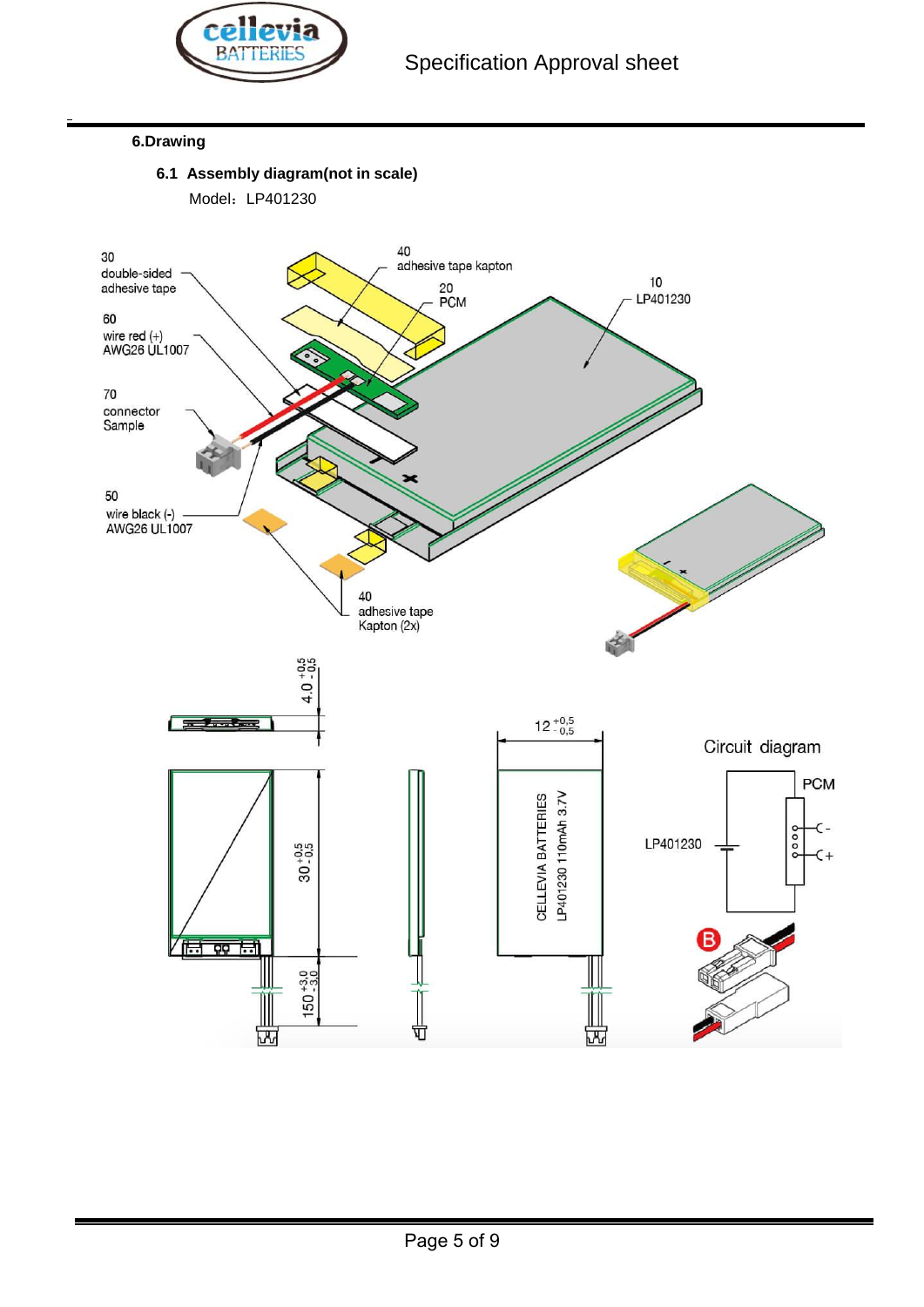

#### **6.Drawing**

**6.1 Assembly diagram(not in scale)**

Model: LP401230

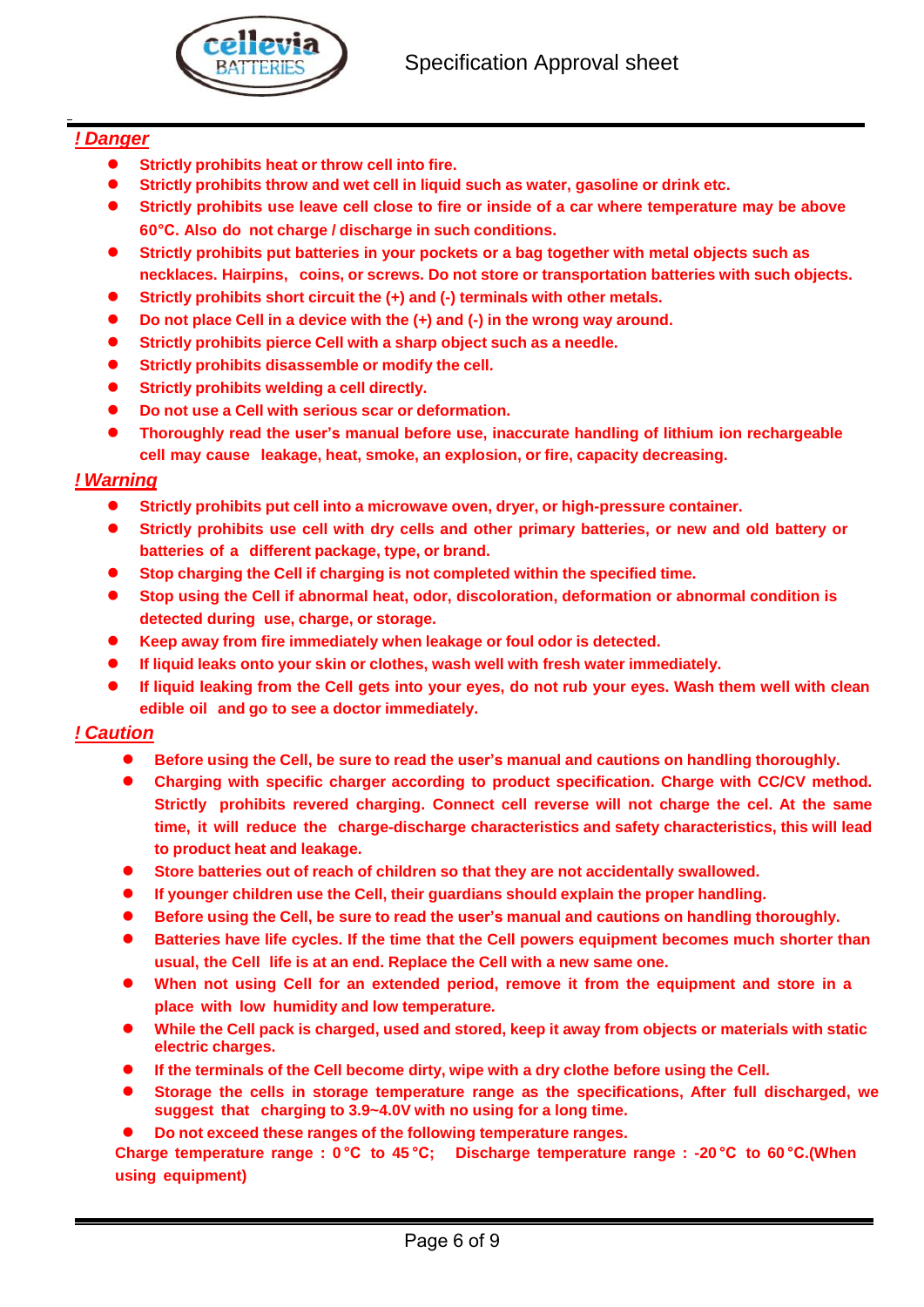

## *! Danger*

- **Strictly prohibits heat or throw cell into fire.**
- **Strictly prohibits throw and wet cell in liquid such as water, gasoline or drink etc.**
- **Strictly prohibits use leave cell close to fire or inside of a car where temperature may be above 60°C. Also do not charge / discharge in such conditions.**
- **Strictly prohibits put batteries in your pockets or a bag together with metal objects such as necklaces. Hairpins, coins, or screws. Do not store or transportation batteries with such objects.**
- **Strictly prohibits short circuit the (+) and (-) terminals with other metals.**
- **Do not place Cell in a device with the (+) and (-) in the wrong way around.**
- **Strictly prohibits pierce Cell with a sharp object such as a needle.**
- **Strictly prohibits disassemble or modify the cell.**
- **Strictly prohibits welding a cell directly.**
- **Do not use a Cell with serious scar or deformation.**
- **Thoroughly read the user's manual before use, inaccurate handling of lithium ion rechargeable cell may cause leakage, heat, smoke, an explosion, or fire, capacity decreasing.**

## *! Warning*

- **Strictly prohibits put cell into a microwave oven, dryer, or high-pressure container.**
- **Strictly prohibits use cell with dry cells and other primary batteries, or new and old battery or batteries of a different package, type, or brand.**
- **Stop charging the Cell if charging is not completed within the specified time.**
- **Stop using the Cell if abnormal heat, odor, discoloration, deformation or abnormal condition is detected during use, charge, or storage.**
- **Keep away from fire immediately when leakage or foul odor is detected.**
- **If liquid leaks onto your skin or clothes, wash well with fresh water immediately.**
- If liquid leaking from the Cell gets into your eyes, do not rub your eyes. Wash them well with clean **edible oil and go to see a doctor immediately.**

## *! Caution*

- **Before using the Cell, be sure to read the user's manual and cautions on handling thoroughly.**
- **Charging with specific charger according to product specification. Charge with CC/CV method. Strictly prohibits revered charging. Connect cell reverse will not charge the cel. At the same time, it will reduce the charge-discharge characteristics and safety characteristics, this will lead to product heat and leakage.**
- **Store batteries out of reach of children so that they are not accidentally swallowed.**
- **If younger children use the Cell, their guardians should explain the proper handling.**
- **Before using the Cell, be sure to read the user's manual and cautions on handling thoroughly.**
- **Batteries have life cycles. If the time that the Cell powers equipment becomes much shorter than usual, the Cell life is at an end. Replace the Cell with a new same one.**
- **When not using Cell for an extended period, remove it from the equipment and store in a place with low humidity and low temperature.**
- While the Cell pack is charged, used and stored, keep it away from objects or materials with static **electric charges.**
- **If the terminals of the Cell become dirty, wipe with a dry clothe before using the Cell.**
- **Storage the cells in storage temperature range as the specifications, After full discharged, we suggest that charging to 3.9~4.0V with no using for a long time.**
- **Do not exceed these ranges of the following temperature ranges.**

**Charge temperature range : 0 °C to 45 °C; Discharge temperature range : -20 °C to 60 °C.(When using equipment)**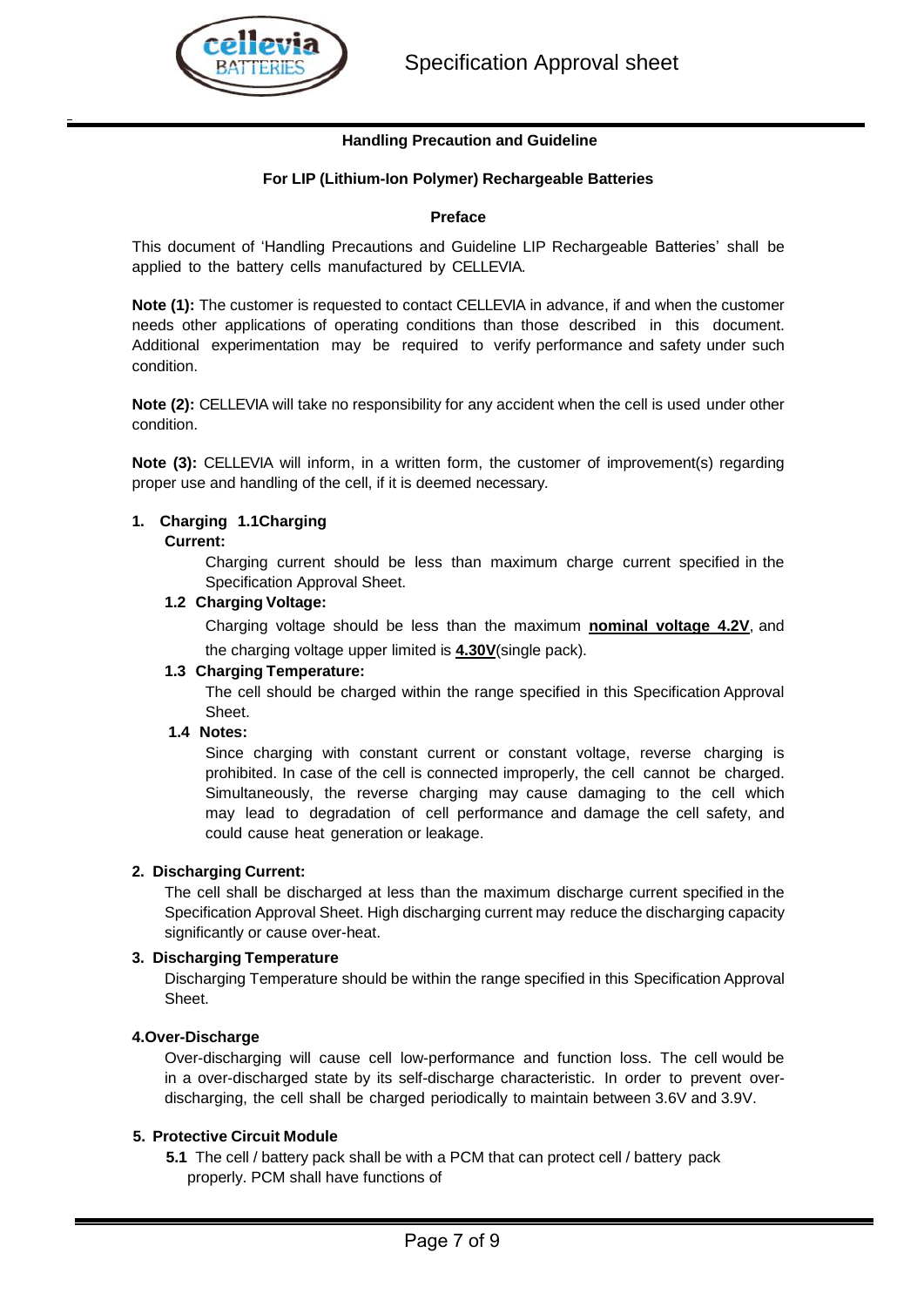## **Handling Precaution and Guideline**

## **For LIP (Lithium-Ion Polymer) Rechargeable Batteries**

#### **Preface**

This document of 'Handling Precautions and Guideline LIP Rechargeable Batteries' shall be applied to the battery cells manufactured by CELLEVIA.

**Note (1):** The customer is requested to contact CELLEVIA in advance, if and when the customer needs other applications of operating conditions than those described in this document. Additional experimentation may be required to verify performance and safety under such condition.

**Note (2):** CELLEVIA will take no responsibility for any accident when the cell is used under other condition.

**Note (3):** CELLEVIA will inform, in a written form, the customer of improvement(s) regarding proper use and handling of the cell, if it is deemed necessary.

## **1. Charging 1.1Charging**

#### **Current:**

Charging current should be less than maximum charge current specified in the Specification Approval Sheet.

## **1.2 Charging Voltage:**

Charging voltage should be less than the maximum **nominal voltage 4.2V**, and the charging voltage upper limited is **4.30V**(single pack).

#### **1.3 Charging Temperature:**

The cell should be charged within the range specified in this Specification Approval **Sheet** 

#### **1.4 Notes:**

Since charging with constant current or constant voltage, reverse charging is prohibited. In case of the cell is connected improperly, the cell cannot be charged. Simultaneously, the reverse charging may cause damaging to the cell which may lead to degradation of cell performance and damage the cell safety, and could cause heat generation or leakage.

#### **2. Discharging Current:**

The cell shall be discharged at less than the maximum discharge current specified in the Specification Approval Sheet. High discharging current may reduce the discharging capacity significantly or cause over-heat.

#### **3. Discharging Temperature**

Discharging Temperature should be within the range specified in this Specification Approval **Sheet** 

#### **4.Over-Discharge**

Over-discharging will cause cell low-performance and function loss. The cell would be in a over-discharged state by its self-discharge characteristic. In order to prevent overdischarging, the cell shall be charged periodically to maintain between 3.6V and 3.9V.

#### **5. Protective Circuit Module**

**5.1** The cell / battery pack shall be with a PCM that can protect cell / battery pack properly. PCM shall have functions of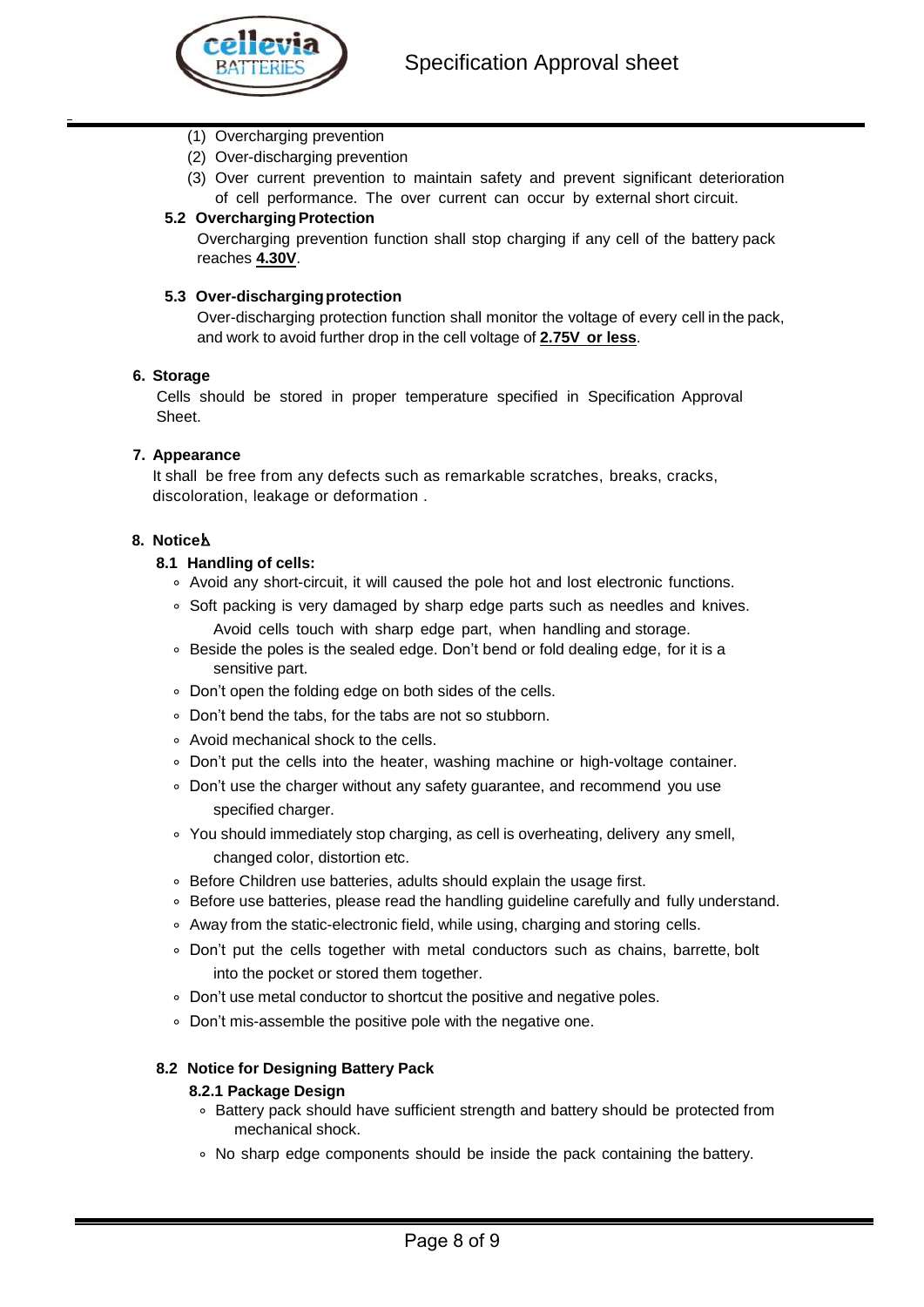- (1) Overcharging prevention
- (2) Over-discharging prevention
- (3) Over current prevention to maintain safety and prevent significant deterioration of cell performance. The over current can occur by external short circuit.

## **5.2 Overcharging Protection**

Overcharging prevention function shall stop charging if any cell of the battery pack reaches **4.30V**.

#### **5.3 Over-dischargingprotection**

Over-discharging protection function shall monitor the voltage of every cell in the pack, and work to avoid further drop in the cell voltage of **2.75V or less**.

#### **6. Storage**

Cells should be stored in proper temperature specified in Specification Approval Sheet.

#### **7. Appearance**

It shall be free from any defects such as remarkable scratches, breaks, cracks, discoloration, leakage or deformation .

#### **8. Notice**△**!**

#### **8.1 Handling of cells:**

- ⃘ Avoid any short-circuit, it will caused the pole hot and lost electronic functions.
- ⃘ Soft packing is very damaged by sharp edge parts such as needles and knives. Avoid cells touch with sharp edge part, when handling and storage.
- Beside the poles is the sealed edge. Don't bend or fold dealing edge, for it is a sensitive part.
- ⃘ Don't open the folding edge on both sides of the cells.
- ⃘ Don't bend the tabs, for the tabs are not so stubborn.
- ⃘ Avoid mechanical shock to the cells.
- ⃘ Don't put the cells into the heater, washing machine or high-voltage container.
- ⃘ Don't use the charger without any safety guarantee, and recommend you use specified charger.
- ⃘ You should immediately stop charging, as cell is overheating, delivery any smell, changed color, distortion etc.
- ⃘ Before Children use batteries, adults should explain the usage first.
- ⃘ Before use batteries, please read the handling guideline carefully and fully understand.
- ⃘ Away from the static-electronic field, while using, charging and storing cells.
- ⃘ Don't put the cells together with metal conductors such as chains, barrette, bolt into the pocket or stored them together.
- ⃘ Don't use metal conductor to shortcut the positive and negative poles.
- ⃘ Don't mis-assemble the positive pole with the negative one.

#### **8.2 Notice for Designing Battery Pack**

#### **8.2.1 Package Design**

- ⃘ Battery pack should have sufficient strength and battery should be protected from mechanical shock.
- ⃘ No sharp edge components should be inside the pack containing the battery.